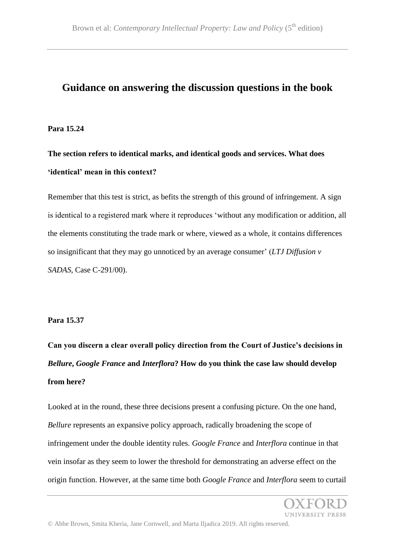## **Guidance on answering the discussion questions in the book**

## **Para 15.24**

**The section refers to identical marks, and identical goods and services. What does 'identical' mean in this context?**

Remember that this test is strict, as befits the strength of this ground of infringement. A sign is identical to a registered mark where it reproduces 'without any modification or addition, all the elements constituting the trade mark or where, viewed as a whole, it contains differences so insignificant that they may go unnoticed by an average consumer' (*LTJ Diffusion v SADAS*, Case C-291/00).

## **Para 15.37**

**Can you discern a clear overall policy direction from the Court of Justice's decisions in**  *Bellure***,** *Google France* **and** *Interflora***? How do you think the case law should develop from here?**

Looked at in the round, these three decisions present a confusing picture. On the one hand, *Bellure* represents an expansive policy approach, radically broadening the scope of infringement under the double identity rules. *Google France* and *Interflora* continue in that vein insofar as they seem to lower the threshold for demonstrating an adverse effect on the origin function. However, at the same time both *Google France* and *Interflora* seem to curtail

INIVERSITY PRESS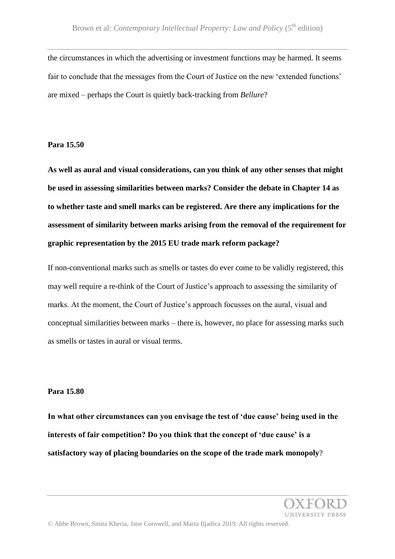the circumstances in which the advertising or investment functions may be harmed. It seems fair to conclude that the messages from the Court of Justice on the new 'extended functions' are mixed – perhaps the Court is quietly back-tracking from *Bellure*?

**Para 15.50**

**As well as aural and visual considerations, can you think of any other senses that might be used in assessing similarities between marks? Consider the debate in Chapter 14 as to whether taste and smell marks can be registered. Are there any implications for the assessment of similarity between marks arising from the removal of the requirement for graphic representation by the 2015 EU trade mark reform package?**

If non-conventional marks such as smells or tastes do ever come to be validly registered, this may well require a re-think of the Court of Justice's approach to assessing the similarity of marks. At the moment, the Court of Justice's approach focusses on the aural, visual and conceptual similarities between marks – there is, however, no place for assessing marks such as smells or tastes in aural or visual terms.

## **Para 15.80**

**In what other circumstances can you envisage the test of 'due cause' being used in the interests of fair competition? Do you think that the concept of 'due cause' is a satisfactory way of placing boundaries on the scope of the trade mark monopoly**?